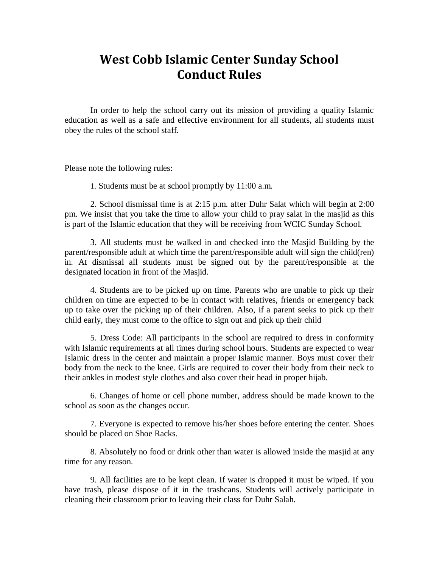## **West Cobb Islamic Center Sunday School Conduct Rules**

In order to help the school carry out its mission of providing a quality Islamic education as well as a safe and effective environment for all students, all students must obey the rules of the school staff.

Please note the following rules:

1. Students must be at school promptly by 11:00 a.m.

2. School dismissal time is at 2:15 p.m. after Duhr Salat which will begin at 2:00 pm. We insist that you take the time to allow your child to pray salat in the masjid as this is part of the Islamic education that they will be receiving from WCIC Sunday School.

3. All students must be walked in and checked into the Masjid Building by the parent/responsible adult at which time the parent/responsible adult will sign the child(ren) in. At dismissal all students must be signed out by the parent/responsible at the designated location in front of the Masjid.

4. Students are to be picked up on time. Parents who are unable to pick up their children on time are expected to be in contact with relatives, friends or emergency back up to take over the picking up of their children. Also, if a parent seeks to pick up their child early, they must come to the office to sign out and pick up their child

5. Dress Code: All participants in the school are required to dress in conformity with Islamic requirements at all times during school hours. Students are expected to wear Islamic dress in the center and maintain a proper Islamic manner. Boys must cover their body from the neck to the knee. Girls are required to cover their body from their neck to their ankles in modest style clothes and also cover their head in proper hijab.

6. Changes of home or cell phone number, address should be made known to the school as soon as the changes occur.

7. Everyone is expected to remove his/her shoes before entering the center. Shoes should be placed on Shoe Racks.

8. Absolutely no food or drink other than water is allowed inside the masjid at any time for any reason.

9. All facilities are to be kept clean. If water is dropped it must be wiped. If you have trash, please dispose of it in the trashcans. Students will actively participate in cleaning their classroom prior to leaving their class for Duhr Salah.